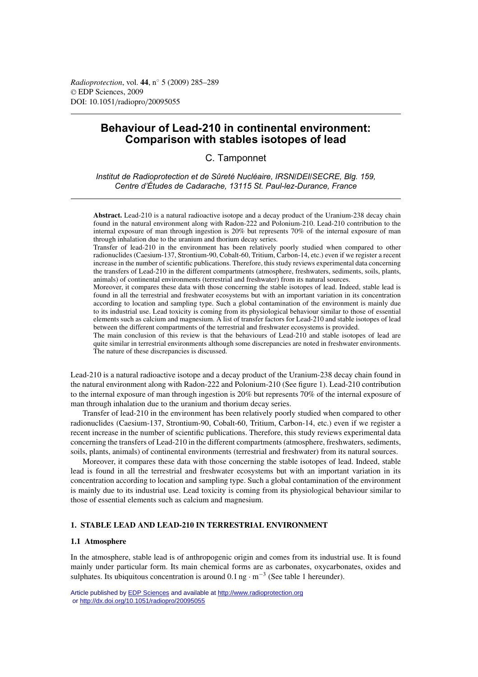*Radioprotection*, vol. **44**, n◦ 5 (2009) 285–289 © EDP Sciences, 2009 DOI: 10.1051/radiopro/20095055

# **Behaviour of Lead-210 in continental environment: Comparison with stables isotopes of lead**

C. Tamponnet

*Institut de Radioprotection et de Sûreté Nucléaire, IRSN/DEI/SECRE, Blg. 159, Centre d'Études de Cadarache, 13115 St. Paul-lez-Durance, France*

**Abstract.** Lead-210 is a natural radioactive isotope and a decay product of the Uranium-238 decay chain found in the natural environment along with Radon-222 and Polonium-210. Lead-210 contribution to the internal exposure of man through ingestion is 20% but represents 70% of the internal exposure of man through inhalation due to the uranium and thorium decay series.

Transfer of lead-210 in the environment has been relatively poorly studied when compared to other radionuclides (Caesium-137, Strontium-90, Cobalt-60, Tritium, Carbon-14, etc.) even if we register a recent increase in the number of scientific publications. Therefore, this study reviews experimental data concerning the transfers of Lead-210 in the different compartments (atmosphere, freshwaters, sediments, soils, plants, animals) of continental environments (terrestrial and freshwater) from its natural sources.

Moreover, it compares these data with those concerning the stable isotopes of lead. Indeed, stable lead is found in all the terrestrial and freshwater ecosystems but with an important variation in its concentration according to location and sampling type. Such a global contamination of the environment is mainly due to its industrial use. Lead toxicity is coming from its physiological behaviour similar to those of essential elements such as calcium and magnesium. A list of transfer factors for Lead-210 and stable isotopes of lead between the different compartments of the terrestrial and freshwater ecosystems is provided.

The main conclusion of this review is that the behaviours of Lead-210 and stable isotopes of lead are quite similar in terrestrial environments although some discrepancies are noted in freshwater environments. The nature of these discrepancies is discussed.

Lead-210 is a natural radioactive isotope and a decay product of the Uranium-238 decay chain found in the natural environment along with Radon-222 and Polonium-210 (See figure 1). Lead-210 contribution to the internal exposure of man through ingestion is 20% but represents 70% of the internal exposure of man through inhalation due to the uranium and thorium decay series.

Transfer of lead-210 in the environment has been relatively poorly studied when compared to other radionuclides (Caesium-137, Strontium-90, Cobalt-60, Tritium, Carbon-14, etc.) even if we register a recent increase in the number of scientific publications. Therefore, this study reviews experimental data concerning the transfers of Lead-210 in the different compartments (atmosphere, freshwaters, sediments, soils, plants, animals) of continental environments (terrestrial and freshwater) from its natural sources.

Moreover, it compares these data with those concerning the stable isotopes of lead. Indeed, stable lead is found in all the terrestrial and freshwater ecosystems but with an important variation in its concentration according to location and sampling type. Such a global contamination of the environment is mainly due to its industrial use. Lead toxicity is coming from its physiological behaviour similar to those of essential elements such as calcium and magnesium.

# **1. STABLE LEAD AND LEAD-210 IN TERRESTRIAL ENVIRONMENT**

# **1.1 Atmosphere**

In the atmosphere, stable lead is of anthropogenic origin and comes from its industrial use. It is found mainly under particular form. Its main chemical forms are as carbonates, oxycarbonates, oxides and sulphates. Its ubiquitous concentration is around  $0.1$  ng · m<sup>-3</sup> (See table 1 hereunder).

Article published by [EDP Sciences](http://www.edpsciences.org) and available at<http://www.radioprotection.org> or <http://dx.doi.org/10.1051/radiopro/20095055>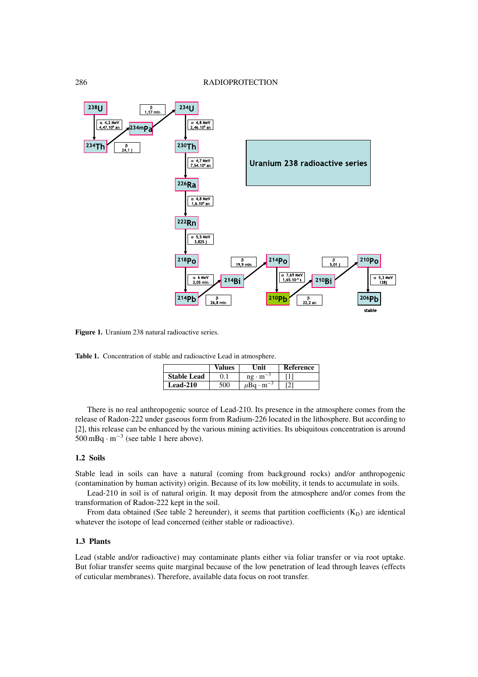

Figure 1. Uranium 238 natural radioactive series.

**Table 1.** Concentration of stable and radioactive Lead in atmosphere.

|                    | Values | Unit                       | <b>Reference</b> |
|--------------------|--------|----------------------------|------------------|
| <b>Stable Lead</b> |        | $ne \cdot m^{-3}$          |                  |
| <b>Lead-210</b>    | 500    | $\mu$ Bq · m <sup>-3</sup> |                  |

There is no real anthropogenic source of Lead-210. Its presence in the atmosphere comes from the release of Radon-222 under gaseous form from Radium-226 located in the lithosphere. But according to [2], this release can be enhanced by the various mining activities. Its ubiquitous concentration is around 500 mBq · <sup>m</sup>−<sup>3</sup> (see table 1 here above).

### **1.2 Soils**

Stable lead in soils can have a natural (coming from background rocks) and/or anthropogenic (contamination by human activity) origin. Because of its low mobility, it tends to accumulate in soils.

Lead-210 in soil is of natural origin. It may deposit from the atmosphere and/or comes from the transformation of Radon-222 kept in the soil.

From data obtained (See table 2 hereunder), it seems that partition coefficients  $(K_D)$  are identical whatever the isotope of lead concerned (either stable or radioactive).

# **1.3 Plants**

Lead (stable and/or radioactive) may contaminate plants either via foliar transfer or via root uptake. But foliar transfer seems quite marginal because of the low penetration of lead through leaves (effects of cuticular membranes). Therefore, available data focus on root transfer.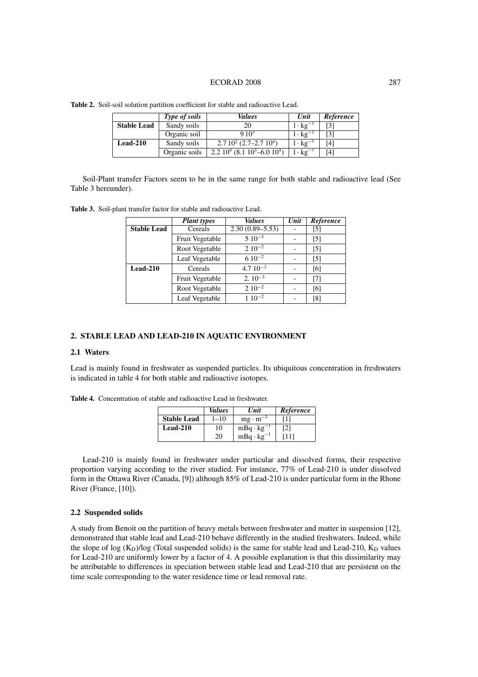### ECORAD 2008 287

|                    | Type of soils | <i>Values</i>                        | Unit                     | Reference |
|--------------------|---------------|--------------------------------------|--------------------------|-----------|
| <b>Stable Lead</b> | Sandy soils   | 20                                   | $1 \cdot \text{kg}^{-1}$ | [3]       |
|                    | Organic soil  | $910^3$                              | $1 \cdot \text{kg}^{-1}$ | [3]       |
| $Leaf-210$         | Sandy soils   | $2.710^2$ (2.7–2.7 10 <sup>4</sup> ) | $1 \cdot \text{kg}^{-1}$ | [4]       |
|                    | Organic soils | $2.210^4$ (8.1 $10^3$ –6.0 $10^4$ )  | $1 \cdot \text{kg}^{-1}$ | [4]       |

**Table 2.** Soil-soil solution partition coefficient for stable and radioactive Lead.

Soil-Plant transfer Factors seem to be in the same range for both stable and radioactive lead (See Table 3 hereunder).

**Table 3.** Soil-plant transfer factor for stable and radioactive Lead.

|                    | <b>Plant</b> types | Values              | Unit | Reference         |
|--------------------|--------------------|---------------------|------|-------------------|
| <b>Stable Lead</b> | Cereals            | $2.30(0.89 - 5.53)$ |      | [5]               |
|                    | Fruit Vegetable    | $510^{-3}$          |      | [5]               |
|                    | Root Vegetable     | $2.10^{-2}$         |      | $\lceil 5 \rceil$ |
|                    | Leaf Vegetable     | $610^{-2}$          |      | [5]               |
| Lead-210           | Cereals            | $4.710^{-3}$        |      | [6]               |
|                    | Fruit Vegetable    | $2.10^{-3}$         |      | [7]               |
|                    | Root Vegetable     | $2.10^{-2}$         |      | [6]               |
|                    | Leaf Vegetable     | $110^{-2}$          |      | [8]               |

# **2. STABLE LEAD AND LEAD-210 IN AQUATIC ENVIRONMENT**

# **2.1 Waters**

Lead is mainly found in freshwater as suspended particles. Its ubiquitous concentration in freshwaters is indicated in table 4 for both stable and radioactive isotopes.

|                    | Values   | Unit                | Reference |
|--------------------|----------|---------------------|-----------|
| <b>Stable Lead</b> | $1 - 10$ | $mg \cdot m^{-3}$   |           |
| Lead-210           | 10       | $mBq \cdot kg^{-1}$ | 21        |
|                    | 20       | $mBq \cdot kg^{-1}$ | 111       |

**Table 4.** Concentration of stable and radioactive Lead in freshwater.

Lead-210 is mainly found in freshwater under particular and dissolved forms, their respective proportion varying according to the river studied. For instance, 77% of Lead-210 is under dissolved form in the Ottawa River (Canada, [9]) although 85% of Lead-210 is under particular form in the Rhone River (France, [10]).

### **2.2 Suspended solids**

A study from Benoit on the partition of heavy metals between freshwater and matter in suspension [12], demonstrated that stable lead and Lead-210 behave differently in the studied freshwaters. Indeed, while the slope of log  $(K_D)/log$  (Total suspended solids) is the same for stable lead and Lead-210,  $K_D$  values for Lead-210 are uniformly lower by a factor of 4. A possible explanation is that this dissimilarity may be attributable to differences in speciation between stable lead and Lead-210 that are persistent on the time scale corresponding to the water residence time or lead removal rate.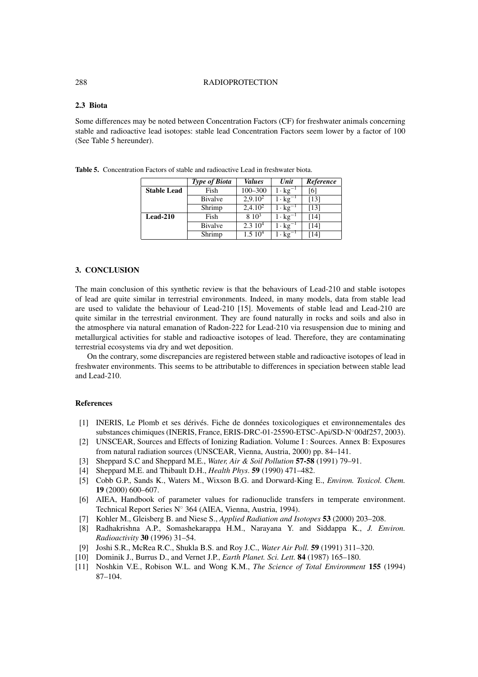### 288 RADIOPROTECTION

# **2.3 Biota**

Some differences may be noted between Concentration Factors (CF) for freshwater animals concerning stable and radioactive lead isotopes: stable lead Concentration Factors seem lower by a factor of 100 (See Table 5 hereunder).

|                    | <b>Type of Biota</b> | <b>Values</b>      | Unit                       | Reference |
|--------------------|----------------------|--------------------|----------------------------|-----------|
| <b>Stable Lead</b> | Fish                 | $100 - 300$        | $1 \cdot \text{kg}^-$      | [6]       |
|                    | Bivalve              | $2,9.10^2$         | $1 \cdot \mathrm{kg}^{-1}$ | [13]      |
|                    | Shrimp               | $2,4.10^2$         | $1 \cdot \text{kg}^{-1}$   | [13]      |
| Lead-210           | Fish                 | $8\;10^3$          | $1 \cdot \text{kg}^{-1}$   | [14]      |
|                    | <b>Bivalve</b>       | 2.310 <sup>4</sup> | $1 \cdot \text{kg}^{-1}$   | [14]      |
|                    | Shrimp               | 1.510 <sup>4</sup> | $1 \cdot \text{kg}^{-1}$   | [14]      |

**Table 5.** Concentration Factors of stable and radioactive Lead in freshwater biota.

# **3. CONCLUSION**

The main conclusion of this synthetic review is that the behaviours of Lead-210 and stable isotopes of lead are quite similar in terrestrial environments. Indeed, in many models, data from stable lead are used to validate the behaviour of Lead-210 [15]. Movements of stable lead and Lead-210 are quite similar in the terrestrial environment. They are found naturally in rocks and soils and also in the atmosphere via natural emanation of Radon-222 for Lead-210 via resuspension due to mining and metallurgical activities for stable and radioactive isotopes of lead. Therefore, they are contaminating terrestrial ecosystems via dry and wet deposition.

On the contrary, some discrepancies are registered between stable and radioactive isotopes of lead in freshwater environments. This seems to be attributable to differences in speciation between stable lead and Lead-210.

### **References**

- [1] INERIS, Le Plomb et ses dérivés. Fiche de données toxicologiques et environnementales des substances chimiques (INERIS, France, ERIS-DRC-01-25590-ETSC-Api/SD-N◦00df257, 2003).
- [2] UNSCEAR, Sources and Effects of Ionizing Radiation. Volume I : Sources. Annex B: Exposures from natural radiation sources (UNSCEAR, Vienna, Austria, 2000) pp. 84–141.
- [3] Sheppard S.C and Sheppard M.E., *Water, Air & Soil Pollution* **57-58** (1991) 79–91.
- [4] Sheppard M.E. and Thibault D.H., *Health Phys*. **59** (1990) 471–482.
- [5] Cobb G.P., Sands K., Waters M., Wixson B.G. and Dorward-King E., *Environ. Toxicol. Chem.* **19** (2000) 600–607.
- [6] AIEA, Handbook of parameter values for radionuclide transfers in temperate environment. Technical Report Series N◦ 364 (AIEA, Vienna, Austria, 1994).
- [7] Kohler M., Gleisberg B. and Niese S., *Applied Radiation and Isotopes* **53** (2000) 203–208.
- [8] Radhakrishna A.P., Somashekarappa H.M., Narayana Y. and Siddappa K., *J. Environ. Radioactivity* **30** (1996) 31–54.
- [9] Joshi S.R., McRea R.C., Shukla B.S. and Roy J.C., *Water Air Poll.* **59** (1991) 311–320.
- [10] Dominik J., Burrus D., and Vernet J.P., *Earth Planet. Sci. Lett.* **84** (1987) 165–180.
- [11] Noshkin V.E., Robison W.L. and Wong K.M., *The Science of Total Environment* **155** (1994) 87–104.